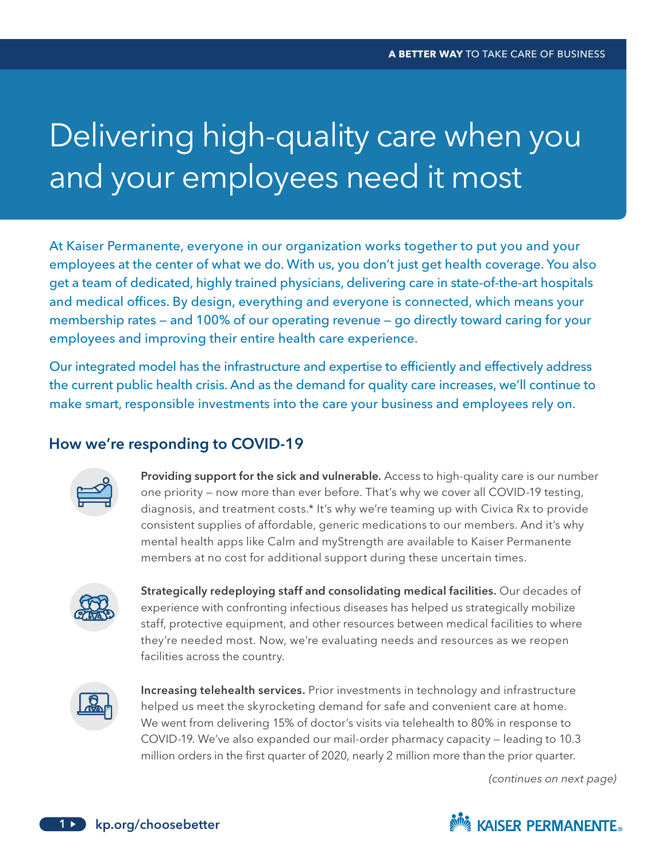## Delivering high-quality care when you and your employees need it most

 employees at the center of what we do. With us, you don't just get health coverage. You also At Kaiser Permanente, everyone in our organization works together to put you and your get a team of dedicated, highly trained physicians, delivering care in state-of-the-art hospitals and medical offices. By design, everything and everyone is connected, which means your membership rates — and 100% of our operating revenue — go directly toward caring for your employees and improving their entire health care experience.

Our integrated model has the infrastructure and expertise to efficiently and effectively address the current public health crisis. And as the demand for quality care increases, we'll continue to make smart, responsible investments into the care your business and employees rely on.

## How we're responding to COVID-19



Providing support for the sick and vulnerable. Access to high-quality care is our number one priority — now more than ever before. That's why we cover all COVID-19 testing, diagnosis, and treatment costs.\* It's why we're teaming up with Civica Rx to provide consistent supplies of affordable, generic medications to our members. And it's why mental health apps like Calm and myStrength are available to Kaiser Permanente members at no cost for additional support during these uncertain times.



Strategically redeploying staff and consolidating medical facilities. Our decades of experience with confronting infectious diseases has helped us strategically mobilize staff, protective equipment, and other resources between medical facilities to where they're needed most. Now, we're evaluating needs and resources as we reopen facilities across the country.



Increasing telehealth services. Prior investments in technology and infrastructure helped us meet the skyrocketing demand for safe and convenient care at home. We went from delivering 15% of doctor's visits via telehealth to 80% in response to COVID-19. We've also expanded our mail-order pharmacy capacity — leading to 10.3 million orders in the frst quarter of 2020, nearly 2 million more than the prior quarter.

*(continues on next page)*